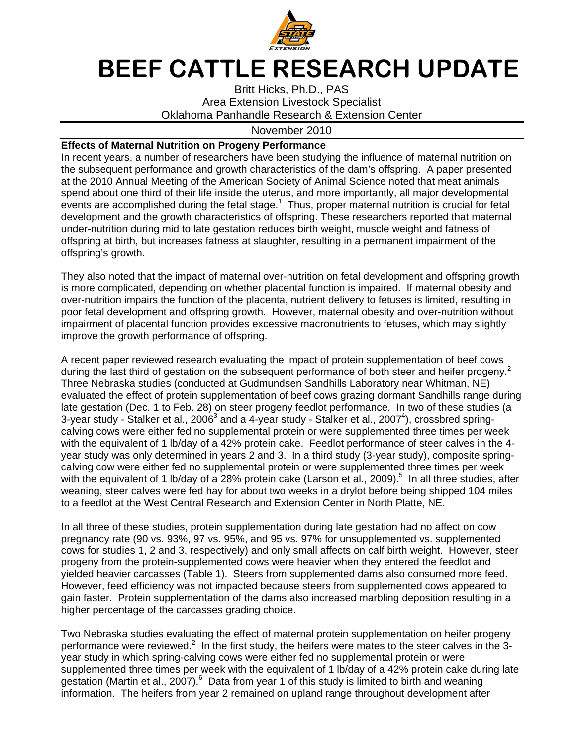

## BEEF CATTLE RESEARCH UPDATE

Britt Hicks, Ph.D., PAS Area Extension Livestock Specialist Oklahoma Panhandle Research & Extension Center

## November 2010

## **Effects of Maternal Nutrition on Progeny Performance**

In recent years, a number of researchers have been studying the influence of maternal nutrition on the subsequent performance and growth characteristics of the dam's offspring. A paper presented at the 2010 Annual Meeting of the American Society of Animal Science noted that meat animals spend about one third of their life inside the uterus, and more importantly, all major developmental events are accomplished during the fetal stage. $1$  Thus, proper maternal nutrition is crucial for fetal development and the growth characteristics of offspring. These researchers reported that maternal under-nutrition during mid to late gestation reduces birth weight, muscle weight and fatness of offspring at birth, but increases fatness at slaughter, resulting in a permanent impairment of the offspring's growth.

They also noted that the impact of maternal over-nutrition on fetal development and offspring growth is more complicated, depending on whether placental function is impaired. If maternal obesity and over-nutrition impairs the function of the placenta, nutrient delivery to fetuses is limited, resulting in poor fetal development and offspring growth. However, maternal obesity and over-nutrition without impairment of placental function provides excessive macronutrients to fetuses, which may slightly improve the growth performance of offspring.

A recent paper reviewed research evaluating the impact of protein supplementation of beef cows during the last third of gestation on the subsequent performance of both steer and heifer progeny.<sup>2</sup> Three Nebraska studies (conducted at Gudmundsen Sandhills Laboratory near Whitman, NE) evaluated the effect of protein supplementation of beef cows grazing dormant Sandhills range during late gestation (Dec. 1 to Feb. 28) on steer progeny feedlot performance. In two of these studies (a 3-year study - Stalker et al., 2006<sup>3</sup> and a 4-year study - Stalker et al., 2007<sup>4</sup>), crossbred springcalving cows were either fed no supplemental protein or were supplemented three times per week with the equivalent of 1 lb/day of a 42% protein cake. Feedlot performance of steer calves in the 4 year study was only determined in years 2 and 3. In a third study (3-year study), composite springcalving cow were either fed no supplemental protein or were supplemented three times per week with the equivalent of 1 lb/day of a 28% protein cake (Larson et al., 2009).<sup>5</sup> In all three studies, after weaning, steer calves were fed hay for about two weeks in a drylot before being shipped 104 miles to a feedlot at the West Central Research and Extension Center in North Platte, NE.

In all three of these studies, protein supplementation during late gestation had no affect on cow pregnancy rate (90 vs. 93%, 97 vs. 95%, and 95 vs. 97% for unsupplemented vs. supplemented cows for studies 1, 2 and 3, respectively) and only small affects on calf birth weight. However, steer progeny from the protein-supplemented cows were heavier when they entered the feedlot and yielded heavier carcasses (Table 1). Steers from supplemented dams also consumed more feed. However, feed efficiency was not impacted because steers from supplemented cows appeared to gain faster. Protein supplementation of the dams also increased marbling deposition resulting in a higher percentage of the carcasses grading choice.

Two Nebraska studies evaluating the effect of maternal protein supplementation on heifer progeny performance were reviewed.<sup>2</sup> In the first study, the heifers were mates to the steer calves in the 3year study in which spring-calving cows were either fed no supplemental protein or were supplemented three times per week with the equivalent of 1 lb/day of a 42% protein cake during late gestation (Martin et al., 2007).<sup>6</sup> Data from year 1 of this study is limited to birth and weaning information. The heifers from year 2 remained on upland range throughout development after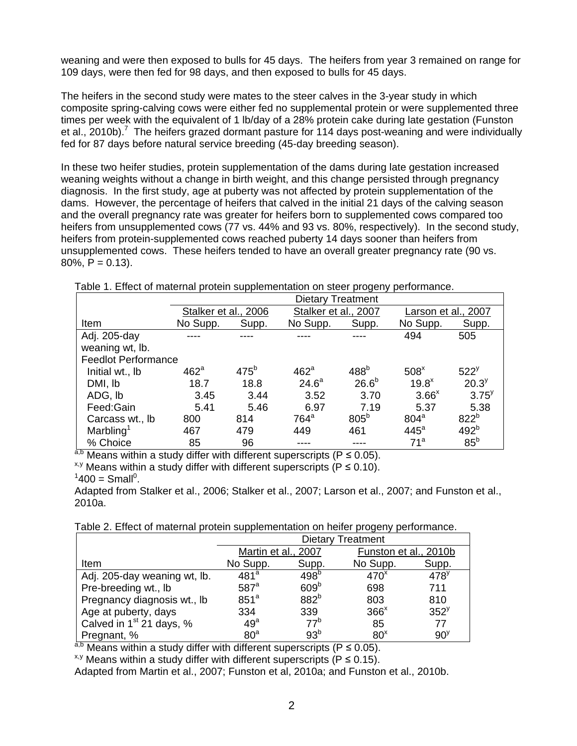weaning and were then exposed to bulls for 45 days. The heifers from year 3 remained on range for 109 days, were then fed for 98 days, and then exposed to bulls for 45 days.

The heifers in the second study were mates to the steer calves in the 3-year study in which composite spring-calving cows were either fed no supplemental protein or were supplemented three times per week with the equivalent of 1 lb/day of a 28% protein cake during late gestation (Funston et al., 2010b).<sup>7</sup> The heifers grazed dormant pasture for 114 days post-weaning and were individually fed for 87 days before natural service breeding (45-day breeding season).

In these two heifer studies, protein supplementation of the dams during late gestation increased weaning weights without a change in birth weight, and this change persisted through pregnancy diagnosis. In the first study, age at puberty was not affected by protein supplementation of the dams. However, the percentage of heifers that calved in the initial 21 days of the calving season and the overall pregnancy rate was greater for heifers born to supplemented cows compared too heifers from unsupplemented cows (77 vs. 44% and 93 vs. 80%, respectively). In the second study, heifers from protein-supplemented cows reached puberty 14 days sooner than heifers from unsupplemented cows. These heifers tended to have an overall greater pregnancy rate (90 vs.  $80\%$ , P = 0.13).

|                            | <b>Dietary Treatment</b> |         |                      |                   |                     |                  |  |  |  |
|----------------------------|--------------------------|---------|----------------------|-------------------|---------------------|------------------|--|--|--|
|                            | Stalker et al., 2006     |         | Stalker et al., 2007 |                   | Larson et al., 2007 |                  |  |  |  |
| Item                       | No Supp.                 | Supp.   | No Supp.             | Supp.             | No Supp.            | Supp.            |  |  |  |
| Adj. 205-day               |                          |         |                      |                   | 494                 | 505              |  |  |  |
| weaning wt, lb.            |                          |         |                      |                   |                     |                  |  |  |  |
| <b>Feedlot Performance</b> |                          |         |                      |                   |                     |                  |  |  |  |
| Initial wt., Ib            | $462^a$                  | $475^b$ | $462^a$              | 488 <sup>b</sup>  | 508 <sup>x</sup>    | 522 <sup>y</sup> |  |  |  |
| DMI, lb                    | 18.7                     | 18.8    | 24.6 <sup>a</sup>    | 26.6 <sup>b</sup> | $19.8^x$            | $20.3^{y}$       |  |  |  |
| ADG, Ib                    | 3.45                     | 3.44    | 3.52                 | 3.70              | $3.66^x$            | $3.75^{y}$       |  |  |  |
| Feed:Gain                  | 5.41                     | 5.46    | 6.97                 | 7.19              | 5.37                | 5.38             |  |  |  |
| Carcass wt., lb            | 800                      | 814     | $764^a$              | 805 <sup>b</sup>  | 804 <sup>a</sup>    | 822 <sup>b</sup> |  |  |  |
| Marbling <sup>1</sup>      | 467                      | 479     | 449                  | 461               | $445^a$             | 492 <sup>b</sup> |  |  |  |
| % Choice                   | 85                       | 96      |                      |                   | 71 <sup>a</sup>     | 85 <sup>b</sup>  |  |  |  |

Table 1. Effect of maternal protein supplementation on steer progeny performance.

a,b Means within a study differ with different superscripts ( $P \le 0.05$ ).

 $x, y$  Means within a study differ with different superscripts (P  $\leq$  0.10).

Adapted from Stalker et al., 2006; Stalker et al., 2007; Larson et al., 2007; and Funston et al., 2010a.

Table 2. Effect of maternal protein supplementation on heifer progeny performance.

|                              | <b>Dietary Treatment</b> |                  |                       |                  |  |  |
|------------------------------|--------------------------|------------------|-----------------------|------------------|--|--|
|                              | Martin et al., 2007      |                  | Funston et al., 2010b |                  |  |  |
| Item                         | No Supp.                 | Supp.            | No Supp.              | Supp.            |  |  |
| Adj. 205-day weaning wt, lb. | 481 <sup>a</sup>         | 498 <sup>b</sup> | 470 <sup>x</sup>      | 478 <sup>y</sup> |  |  |
| Pre-breeding wt., lb         | $587$ <sup>a</sup>       | 609 <sup>b</sup> | 698                   | 711              |  |  |
| Pregnancy diagnosis wt., lb  | 851 <sup>a</sup>         | 882 <sup>b</sup> | 803                   | 810              |  |  |
| Age at puberty, days         | 334                      | 339              | $366^x$               | 352 <sup>y</sup> |  |  |
| Calved in $1st 21$ days, %   | 49 <sup>a</sup>          | 77 <sup>b</sup>  | 85                    | 77               |  |  |
| Pregnant, %                  | 80 <sup>a</sup>          | 93 <sup>b</sup>  | 80 <sup>x</sup>       | 90 <sup>9</sup>  |  |  |

 $a,b$  Means within a study differ with different superscripts (P  $\leq$  0.05).

 $x,y$  Means within a study differ with different superscripts (P  $\leq$  0.15).

Adapted from Martin et al., 2007; Funston et al, 2010a; and Funston et al., 2010b.

 $1400 = S$ mall<sup>0</sup>.